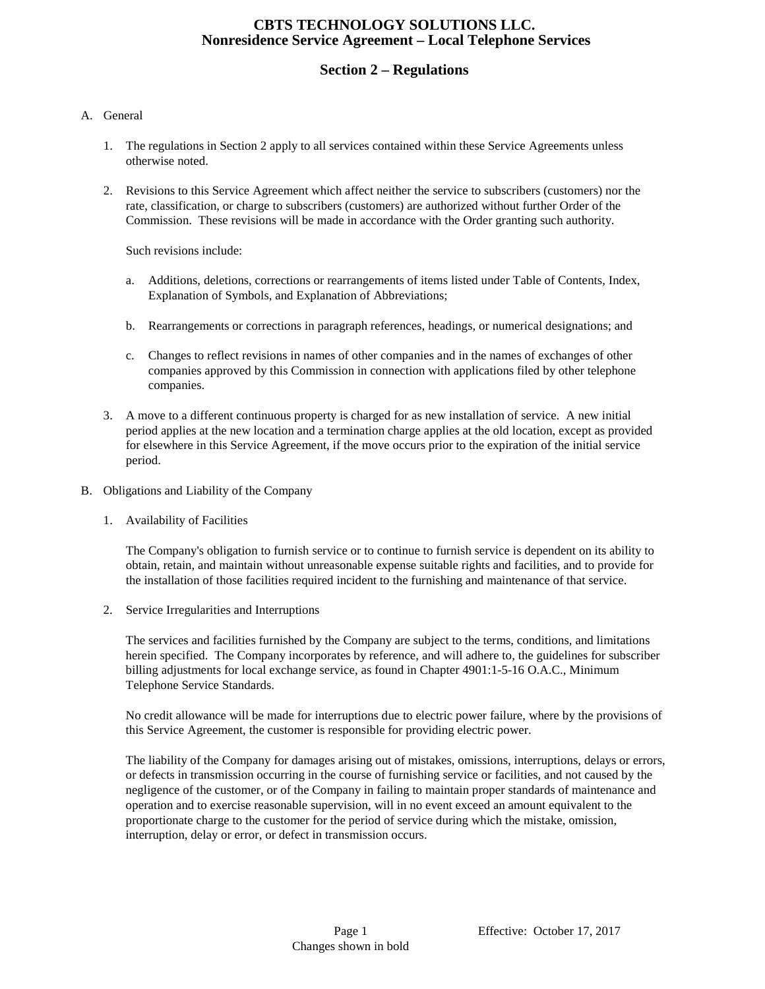# **Section 2 – Regulations**

#### A. General

- 1. The regulations in Section 2 apply to all services contained within these Service Agreements unless otherwise noted.
- 2. Revisions to this Service Agreement which affect neither the service to subscribers (customers) nor the rate, classification, or charge to subscribers (customers) are authorized without further Order of the Commission. These revisions will be made in accordance with the Order granting such authority.

Such revisions include:

- a. Additions, deletions, corrections or rearrangements of items listed under Table of Contents, Index, Explanation of Symbols, and Explanation of Abbreviations;
- b. Rearrangements or corrections in paragraph references, headings, or numerical designations; and
- c. Changes to reflect revisions in names of other companies and in the names of exchanges of other companies approved by this Commission in connection with applications filed by other telephone companies.
- 3. A move to a different continuous property is charged for as new installation of service. A new initial period applies at the new location and a termination charge applies at the old location, except as provided for elsewhere in this Service Agreement, if the move occurs prior to the expiration of the initial service period.
- B. Obligations and Liability of the Company
	- 1. Availability of Facilities

The Company's obligation to furnish service or to continue to furnish service is dependent on its ability to obtain, retain, and maintain without unreasonable expense suitable rights and facilities, and to provide for the installation of those facilities required incident to the furnishing and maintenance of that service.

2. Service Irregularities and Interruptions

The services and facilities furnished by the Company are subject to the terms, conditions, and limitations herein specified. The Company incorporates by reference, and will adhere to, the guidelines for subscriber billing adjustments for local exchange service, as found in Chapter 4901:1-5-16 O.A.C., Minimum Telephone Service Standards.

No credit allowance will be made for interruptions due to electric power failure, where by the provisions of this Service Agreement, the customer is responsible for providing electric power.

The liability of the Company for damages arising out of mistakes, omissions, interruptions, delays or errors, or defects in transmission occurring in the course of furnishing service or facilities, and not caused by the negligence of the customer, or of the Company in failing to maintain proper standards of maintenance and operation and to exercise reasonable supervision, will in no event exceed an amount equivalent to the proportionate charge to the customer for the period of service during which the mistake, omission, interruption, delay or error, or defect in transmission occurs.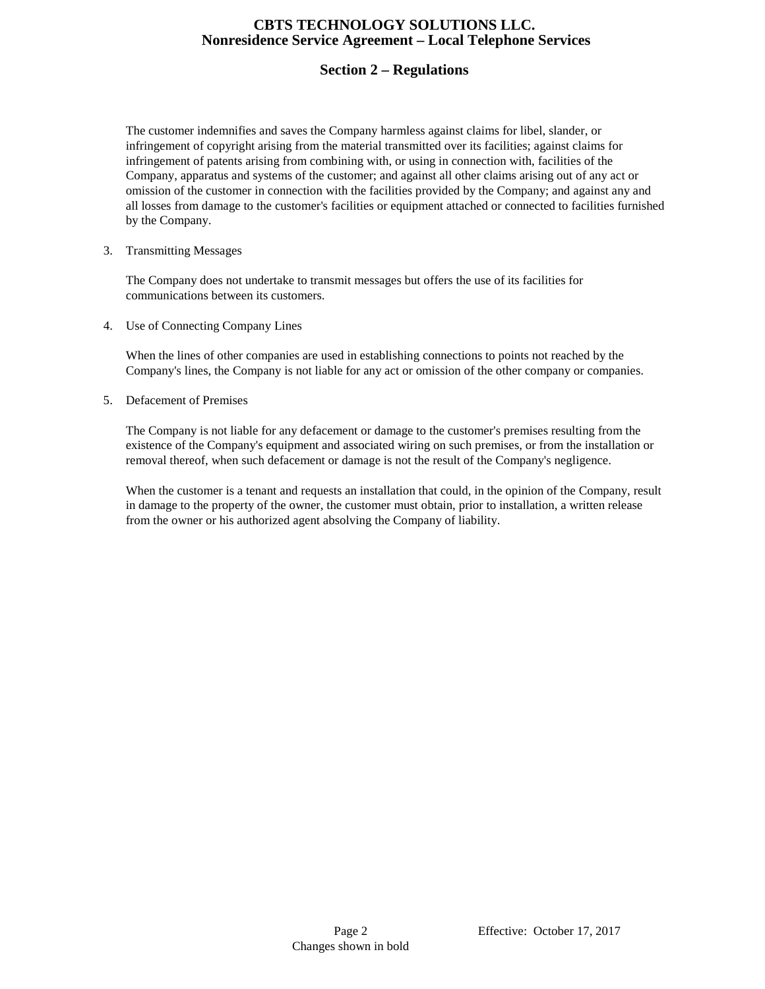# **Section 2 – Regulations**

The customer indemnifies and saves the Company harmless against claims for libel, slander, or infringement of copyright arising from the material transmitted over its facilities; against claims for infringement of patents arising from combining with, or using in connection with, facilities of the Company, apparatus and systems of the customer; and against all other claims arising out of any act or omission of the customer in connection with the facilities provided by the Company; and against any and all losses from damage to the customer's facilities or equipment attached or connected to facilities furnished by the Company.

#### 3. Transmitting Messages

The Company does not undertake to transmit messages but offers the use of its facilities for communications between its customers.

4. Use of Connecting Company Lines

When the lines of other companies are used in establishing connections to points not reached by the Company's lines, the Company is not liable for any act or omission of the other company or companies.

5. Defacement of Premises

The Company is not liable for any defacement or damage to the customer's premises resulting from the existence of the Company's equipment and associated wiring on such premises, or from the installation or removal thereof, when such defacement or damage is not the result of the Company's negligence.

When the customer is a tenant and requests an installation that could, in the opinion of the Company, result in damage to the property of the owner, the customer must obtain, prior to installation, a written release from the owner or his authorized agent absolving the Company of liability.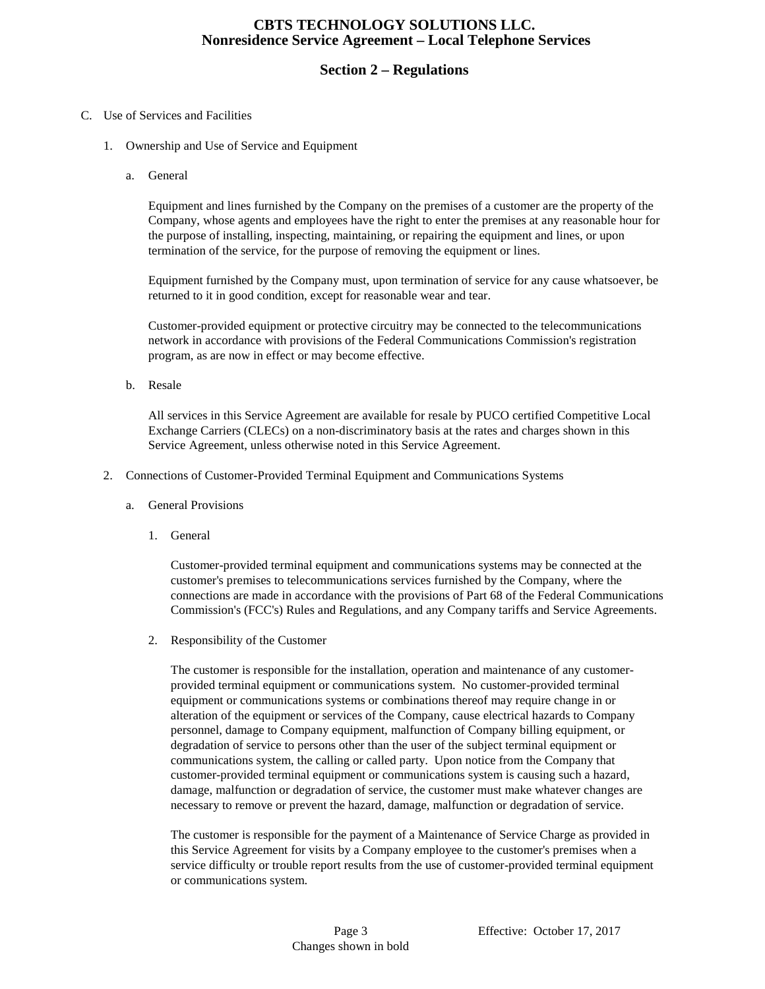# **Section 2 – Regulations**

#### C. Use of Services and Facilities

- 1. Ownership and Use of Service and Equipment
	- a. General

Equipment and lines furnished by the Company on the premises of a customer are the property of the Company, whose agents and employees have the right to enter the premises at any reasonable hour for the purpose of installing, inspecting, maintaining, or repairing the equipment and lines, or upon termination of the service, for the purpose of removing the equipment or lines.

Equipment furnished by the Company must, upon termination of service for any cause whatsoever, be returned to it in good condition, except for reasonable wear and tear.

Customer-provided equipment or protective circuitry may be connected to the telecommunications network in accordance with provisions of the Federal Communications Commission's registration program, as are now in effect or may become effective.

b. Resale

All services in this Service Agreement are available for resale by PUCO certified Competitive Local Exchange Carriers (CLECs) on a non-discriminatory basis at the rates and charges shown in this Service Agreement, unless otherwise noted in this Service Agreement.

- 2. Connections of Customer-Provided Terminal Equipment and Communications Systems
	- a. General Provisions
		- 1. General

Customer-provided terminal equipment and communications systems may be connected at the customer's premises to telecommunications services furnished by the Company, where the connections are made in accordance with the provisions of Part 68 of the Federal Communications Commission's (FCC's) Rules and Regulations, and any Company tariffs and Service Agreements.

2. Responsibility of the Customer

The customer is responsible for the installation, operation and maintenance of any customerprovided terminal equipment or communications system. No customer-provided terminal equipment or communications systems or combinations thereof may require change in or alteration of the equipment or services of the Company, cause electrical hazards to Company personnel, damage to Company equipment, malfunction of Company billing equipment, or degradation of service to persons other than the user of the subject terminal equipment or communications system, the calling or called party. Upon notice from the Company that customer-provided terminal equipment or communications system is causing such a hazard, damage, malfunction or degradation of service, the customer must make whatever changes are necessary to remove or prevent the hazard, damage, malfunction or degradation of service.

The customer is responsible for the payment of a Maintenance of Service Charge as provided in this Service Agreement for visits by a Company employee to the customer's premises when a service difficulty or trouble report results from the use of customer-provided terminal equipment or communications system.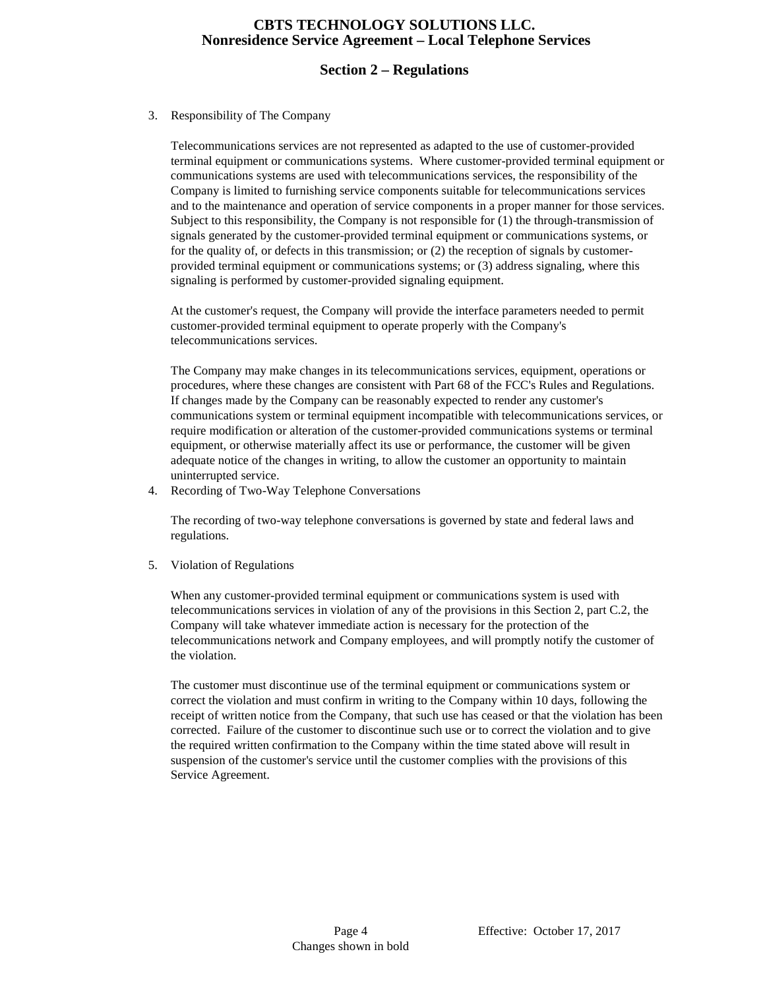## **Section 2 – Regulations**

#### 3. Responsibility of The Company

Telecommunications services are not represented as adapted to the use of customer-provided terminal equipment or communications systems. Where customer-provided terminal equipment or communications systems are used with telecommunications services, the responsibility of the Company is limited to furnishing service components suitable for telecommunications services and to the maintenance and operation of service components in a proper manner for those services. Subject to this responsibility, the Company is not responsible for (1) the through-transmission of signals generated by the customer-provided terminal equipment or communications systems, or for the quality of, or defects in this transmission; or (2) the reception of signals by customerprovided terminal equipment or communications systems; or (3) address signaling, where this signaling is performed by customer-provided signaling equipment.

At the customer's request, the Company will provide the interface parameters needed to permit customer-provided terminal equipment to operate properly with the Company's telecommunications services.

The Company may make changes in its telecommunications services, equipment, operations or procedures, where these changes are consistent with Part 68 of the FCC's Rules and Regulations. If changes made by the Company can be reasonably expected to render any customer's communications system or terminal equipment incompatible with telecommunications services, or require modification or alteration of the customer-provided communications systems or terminal equipment, or otherwise materially affect its use or performance, the customer will be given adequate notice of the changes in writing, to allow the customer an opportunity to maintain uninterrupted service.

4. Recording of Two-Way Telephone Conversations

The recording of two-way telephone conversations is governed by state and federal laws and regulations.

5. Violation of Regulations

When any customer-provided terminal equipment or communications system is used with telecommunications services in violation of any of the provisions in this Section 2, part C.2, the Company will take whatever immediate action is necessary for the protection of the telecommunications network and Company employees, and will promptly notify the customer of the violation.

The customer must discontinue use of the terminal equipment or communications system or correct the violation and must confirm in writing to the Company within 10 days, following the receipt of written notice from the Company, that such use has ceased or that the violation has been corrected. Failure of the customer to discontinue such use or to correct the violation and to give the required written confirmation to the Company within the time stated above will result in suspension of the customer's service until the customer complies with the provisions of this Service Agreement.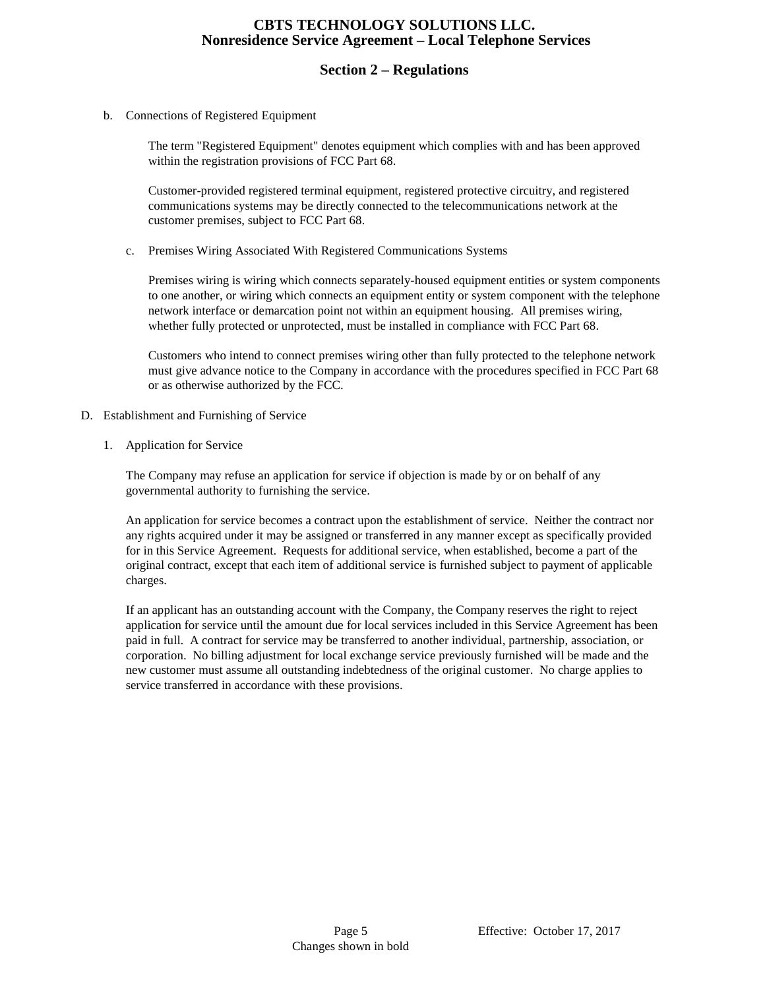#### **Section 2 – Regulations**

b. Connections of Registered Equipment

The term "Registered Equipment" denotes equipment which complies with and has been approved within the registration provisions of FCC Part 68.

Customer-provided registered terminal equipment, registered protective circuitry, and registered communications systems may be directly connected to the telecommunications network at the customer premises, subject to FCC Part 68.

c. Premises Wiring Associated With Registered Communications Systems

Premises wiring is wiring which connects separately-housed equipment entities or system components to one another, or wiring which connects an equipment entity or system component with the telephone network interface or demarcation point not within an equipment housing. All premises wiring, whether fully protected or unprotected, must be installed in compliance with FCC Part 68.

Customers who intend to connect premises wiring other than fully protected to the telephone network must give advance notice to the Company in accordance with the procedures specified in FCC Part 68 or as otherwise authorized by the FCC.

- D. Establishment and Furnishing of Service
	- 1. Application for Service

The Company may refuse an application for service if objection is made by or on behalf of any governmental authority to furnishing the service.

An application for service becomes a contract upon the establishment of service. Neither the contract nor any rights acquired under it may be assigned or transferred in any manner except as specifically provided for in this Service Agreement. Requests for additional service, when established, become a part of the original contract, except that each item of additional service is furnished subject to payment of applicable charges.

If an applicant has an outstanding account with the Company, the Company reserves the right to reject application for service until the amount due for local services included in this Service Agreement has been paid in full. A contract for service may be transferred to another individual, partnership, association, or corporation. No billing adjustment for local exchange service previously furnished will be made and the new customer must assume all outstanding indebtedness of the original customer. No charge applies to service transferred in accordance with these provisions.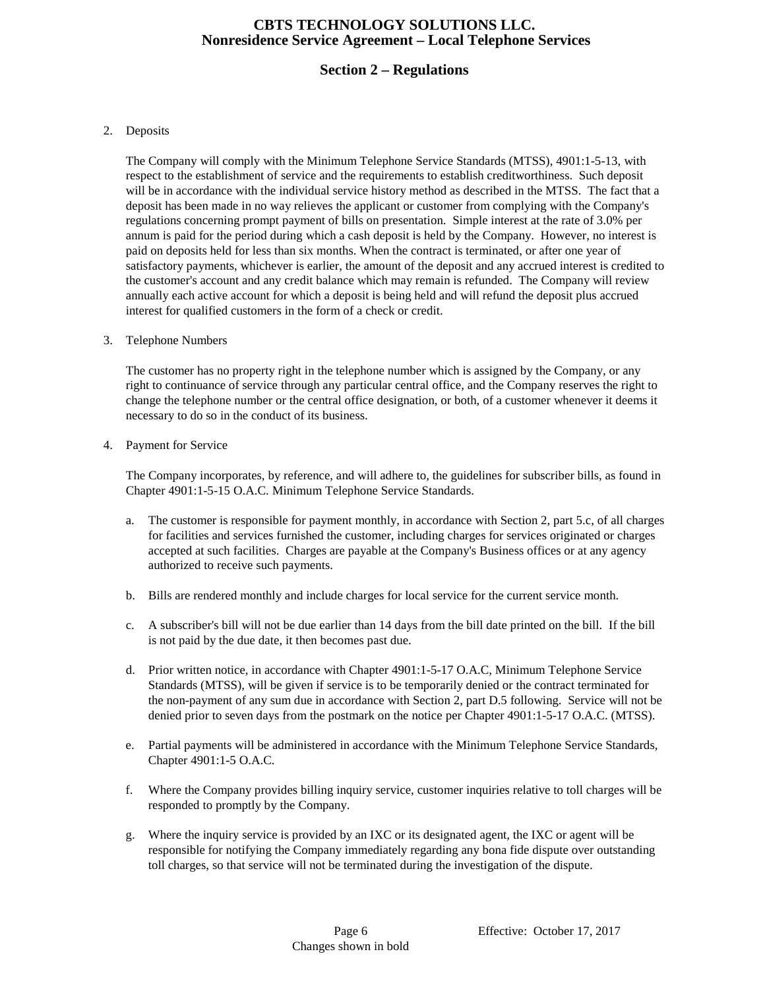# **Section 2 – Regulations**

#### 2. Deposits

The Company will comply with the Minimum Telephone Service Standards (MTSS), 4901:1-5-13, with respect to the establishment of service and the requirements to establish creditworthiness. Such deposit will be in accordance with the individual service history method as described in the MTSS. The fact that a deposit has been made in no way relieves the applicant or customer from complying with the Company's regulations concerning prompt payment of bills on presentation. Simple interest at the rate of 3.0% per annum is paid for the period during which a cash deposit is held by the Company. However, no interest is paid on deposits held for less than six months. When the contract is terminated, or after one year of satisfactory payments, whichever is earlier, the amount of the deposit and any accrued interest is credited to the customer's account and any credit balance which may remain is refunded. The Company will review annually each active account for which a deposit is being held and will refund the deposit plus accrued interest for qualified customers in the form of a check or credit.

#### 3. Telephone Numbers

The customer has no property right in the telephone number which is assigned by the Company, or any right to continuance of service through any particular central office, and the Company reserves the right to change the telephone number or the central office designation, or both, of a customer whenever it deems it necessary to do so in the conduct of its business.

4. Payment for Service

The Company incorporates, by reference, and will adhere to, the guidelines for subscriber bills, as found in Chapter 4901:1-5-15 O.A.C. Minimum Telephone Service Standards.

- a. The customer is responsible for payment monthly, in accordance with Section 2, part 5.c, of all charges for facilities and services furnished the customer, including charges for services originated or charges accepted at such facilities. Charges are payable at the Company's Business offices or at any agency authorized to receive such payments.
- b. Bills are rendered monthly and include charges for local service for the current service month.
- c. A subscriber's bill will not be due earlier than 14 days from the bill date printed on the bill. If the bill is not paid by the due date, it then becomes past due.
- d. Prior written notice, in accordance with Chapter 4901:1-5-17 O.A.C, Minimum Telephone Service Standards (MTSS), will be given if service is to be temporarily denied or the contract terminated for the non-payment of any sum due in accordance with Section 2, part D.5 following. Service will not be denied prior to seven days from the postmark on the notice per Chapter 4901:1-5-17 O.A.C. (MTSS).
- e. Partial payments will be administered in accordance with the Minimum Telephone Service Standards, Chapter 4901:1-5 O.A.C.
- f. Where the Company provides billing inquiry service, customer inquiries relative to toll charges will be responded to promptly by the Company.
- g. Where the inquiry service is provided by an IXC or its designated agent, the IXC or agent will be responsible for notifying the Company immediately regarding any bona fide dispute over outstanding toll charges, so that service will not be terminated during the investigation of the dispute.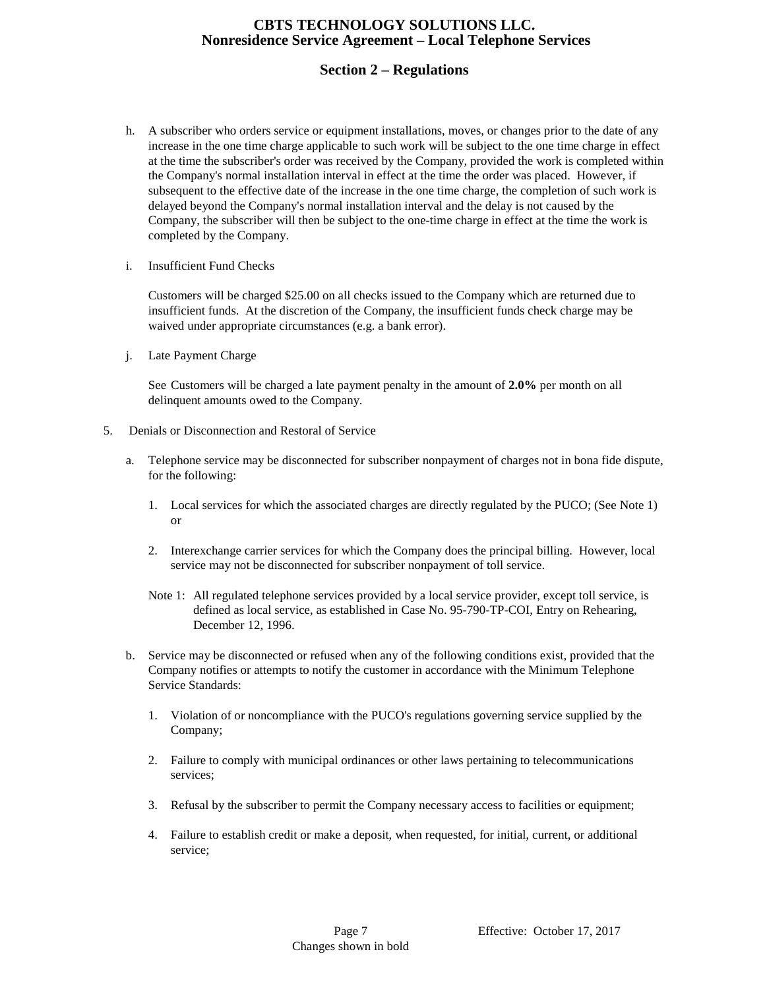# **Section 2 – Regulations**

- h. A subscriber who orders service or equipment installations, moves, or changes prior to the date of any increase in the one time charge applicable to such work will be subject to the one time charge in effect at the time the subscriber's order was received by the Company, provided the work is completed within the Company's normal installation interval in effect at the time the order was placed. However, if subsequent to the effective date of the increase in the one time charge, the completion of such work is delayed beyond the Company's normal installation interval and the delay is not caused by the Company, the subscriber will then be subject to the one-time charge in effect at the time the work is completed by the Company.
- i. Insufficient Fund Checks

Customers will be charged \$25.00 on all checks issued to the Company which are returned due to insufficient funds. At the discretion of the Company, the insufficient funds check charge may be waived under appropriate circumstances (e.g. a bank error).

j. Late Payment Charge

See Customers will be charged a late payment penalty in the amount of **2.0%** per month on all delinquent amounts owed to the Company.

- 5. Denials or Disconnection and Restoral of Service
	- a. Telephone service may be disconnected for subscriber nonpayment of charges not in bona fide dispute, for the following:
		- 1. Local services for which the associated charges are directly regulated by the PUCO; (See Note 1) or
		- 2. Interexchange carrier services for which the Company does the principal billing. However, local service may not be disconnected for subscriber nonpayment of toll service.
		- Note 1: All regulated telephone services provided by a local service provider, except toll service, is defined as local service, as established in Case No. 95-790-TP-COI, Entry on Rehearing, December 12, 1996.
	- b. Service may be disconnected or refused when any of the following conditions exist, provided that the Company notifies or attempts to notify the customer in accordance with the Minimum Telephone Service Standards:
		- 1. Violation of or noncompliance with the PUCO's regulations governing service supplied by the Company;
		- 2. Failure to comply with municipal ordinances or other laws pertaining to telecommunications services;
		- 3. Refusal by the subscriber to permit the Company necessary access to facilities or equipment;
		- 4. Failure to establish credit or make a deposit, when requested, for initial, current, or additional service;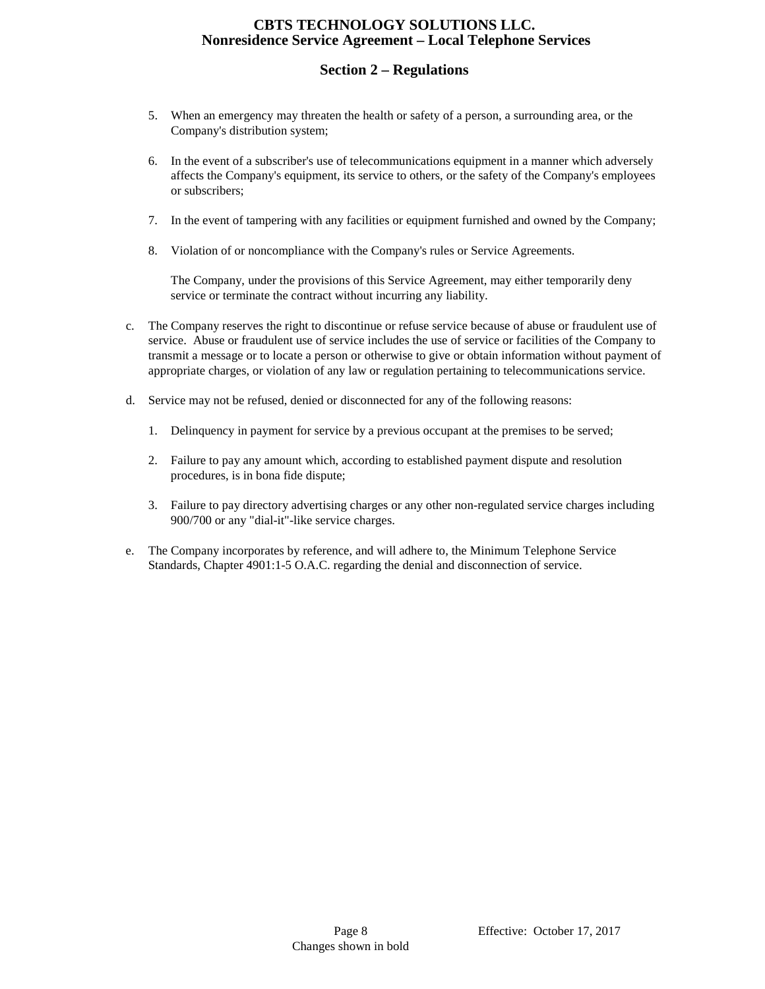# **Section 2 – Regulations**

- 5. When an emergency may threaten the health or safety of a person, a surrounding area, or the Company's distribution system;
- 6. In the event of a subscriber's use of telecommunications equipment in a manner which adversely affects the Company's equipment, its service to others, or the safety of the Company's employees or subscribers;
- 7. In the event of tampering with any facilities or equipment furnished and owned by the Company;
- 8. Violation of or noncompliance with the Company's rules or Service Agreements.

The Company, under the provisions of this Service Agreement, may either temporarily deny service or terminate the contract without incurring any liability.

- c. The Company reserves the right to discontinue or refuse service because of abuse or fraudulent use of service. Abuse or fraudulent use of service includes the use of service or facilities of the Company to transmit a message or to locate a person or otherwise to give or obtain information without payment of appropriate charges, or violation of any law or regulation pertaining to telecommunications service.
- d. Service may not be refused, denied or disconnected for any of the following reasons:
	- 1. Delinquency in payment for service by a previous occupant at the premises to be served;
	- 2. Failure to pay any amount which, according to established payment dispute and resolution procedures, is in bona fide dispute;
	- 3. Failure to pay directory advertising charges or any other non-regulated service charges including 900/700 or any "dial-it"-like service charges.
- e. The Company incorporates by reference, and will adhere to, the Minimum Telephone Service Standards, Chapter 4901:1-5 O.A.C. regarding the denial and disconnection of service.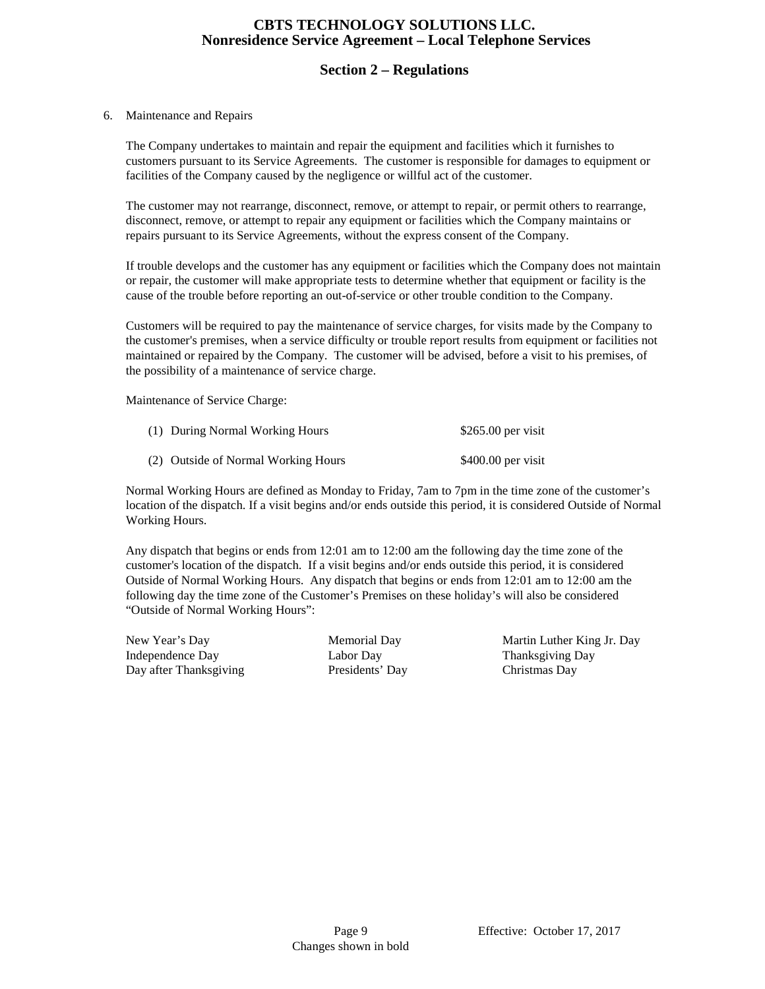# **Section 2 – Regulations**

#### 6. Maintenance and Repairs

The Company undertakes to maintain and repair the equipment and facilities which it furnishes to customers pursuant to its Service Agreements. The customer is responsible for damages to equipment or facilities of the Company caused by the negligence or willful act of the customer.

The customer may not rearrange, disconnect, remove, or attempt to repair, or permit others to rearrange, disconnect, remove, or attempt to repair any equipment or facilities which the Company maintains or repairs pursuant to its Service Agreements, without the express consent of the Company.

If trouble develops and the customer has any equipment or facilities which the Company does not maintain or repair, the customer will make appropriate tests to determine whether that equipment or facility is the cause of the trouble before reporting an out-of-service or other trouble condition to the Company.

Customers will be required to pay the maintenance of service charges, for visits made by the Company to the customer's premises, when a service difficulty or trouble report results from equipment or facilities not maintained or repaired by the Company. The customer will be advised, before a visit to his premises, of the possibility of a maintenance of service charge.

Maintenance of Service Charge:

| (1) During Normal Working Hours     | $$265.00$ per visit |
|-------------------------------------|---------------------|
| (2) Outside of Normal Working Hours | $$400.00$ per visit |

Normal Working Hours are defined as Monday to Friday, 7am to 7pm in the time zone of the customer's location of the dispatch. If a visit begins and/or ends outside this period, it is considered Outside of Normal Working Hours.

Any dispatch that begins or ends from 12:01 am to 12:00 am the following day the time zone of the customer's location of the dispatch. If a visit begins and/or ends outside this period, it is considered Outside of Normal Working Hours. Any dispatch that begins or ends from 12:01 am to 12:00 am the following day the time zone of the Customer's Premises on these holiday's will also be considered "Outside of Normal Working Hours":

Independence Day Labor Day Labor Day Thanksgiving Day Day after Thanksgiving Presidents' Day Christmas Day

New Year's Day Memorial Day Martin Luther King Jr. Day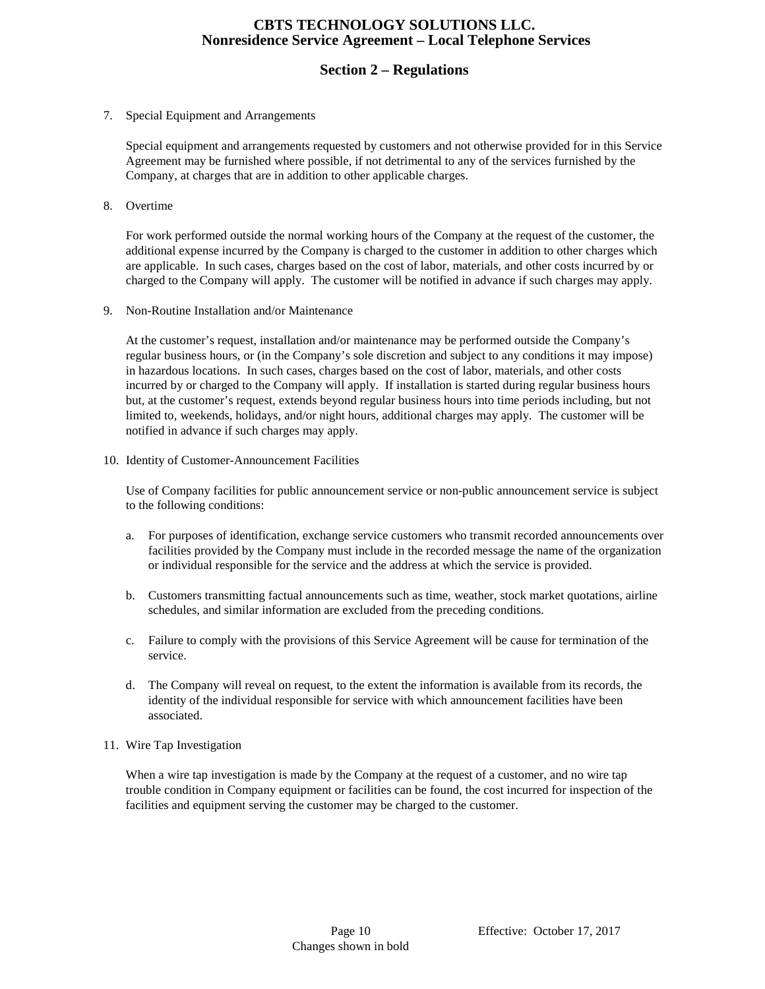# **Section 2 – Regulations**

7. Special Equipment and Arrangements

Special equipment and arrangements requested by customers and not otherwise provided for in this Service Agreement may be furnished where possible, if not detrimental to any of the services furnished by the Company, at charges that are in addition to other applicable charges.

8. Overtime

For work performed outside the normal working hours of the Company at the request of the customer, the additional expense incurred by the Company is charged to the customer in addition to other charges which are applicable. In such cases, charges based on the cost of labor, materials, and other costs incurred by or charged to the Company will apply. The customer will be notified in advance if such charges may apply.

9. Non-Routine Installation and/or Maintenance

At the customer's request, installation and/or maintenance may be performed outside the Company's regular business hours, or (in the Company's sole discretion and subject to any conditions it may impose) in hazardous locations. In such cases, charges based on the cost of labor, materials, and other costs incurred by or charged to the Company will apply. If installation is started during regular business hours but, at the customer's request, extends beyond regular business hours into time periods including, but not limited to, weekends, holidays, and/or night hours, additional charges may apply. The customer will be notified in advance if such charges may apply.

10. Identity of Customer-Announcement Facilities

Use of Company facilities for public announcement service or non-public announcement service is subject to the following conditions:

- a. For purposes of identification, exchange service customers who transmit recorded announcements over facilities provided by the Company must include in the recorded message the name of the organization or individual responsible for the service and the address at which the service is provided.
- b. Customers transmitting factual announcements such as time, weather, stock market quotations, airline schedules, and similar information are excluded from the preceding conditions.
- c. Failure to comply with the provisions of this Service Agreement will be cause for termination of the service.
- d. The Company will reveal on request, to the extent the information is available from its records, the identity of the individual responsible for service with which announcement facilities have been associated.
- 11. Wire Tap Investigation

When a wire tap investigation is made by the Company at the request of a customer, and no wire tap trouble condition in Company equipment or facilities can be found, the cost incurred for inspection of the facilities and equipment serving the customer may be charged to the customer.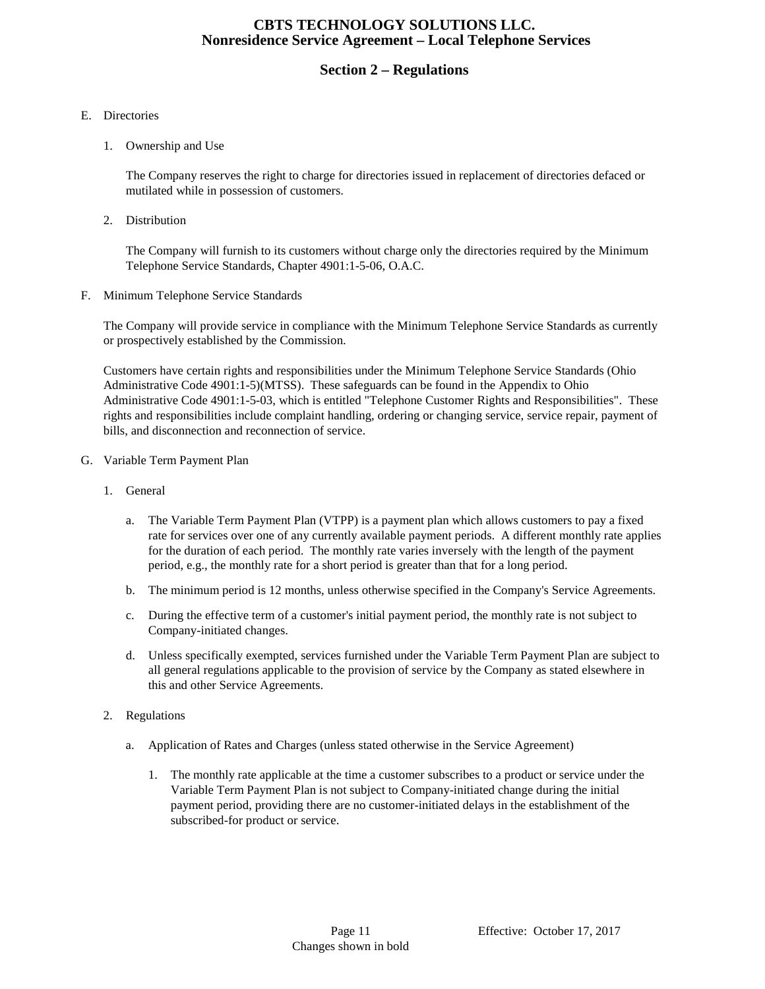# **Section 2 – Regulations**

#### E. Directories

1. Ownership and Use

The Company reserves the right to charge for directories issued in replacement of directories defaced or mutilated while in possession of customers.

2. Distribution

The Company will furnish to its customers without charge only the directories required by the Minimum Telephone Service Standards, Chapter 4901:1-5-06, O.A.C.

F. Minimum Telephone Service Standards

The Company will provide service in compliance with the Minimum Telephone Service Standards as currently or prospectively established by the Commission.

Customers have certain rights and responsibilities under the Minimum Telephone Service Standards (Ohio Administrative Code 4901:1-5)(MTSS). These safeguards can be found in the Appendix to Ohio Administrative Code 4901:1-5-03, which is entitled "Telephone Customer Rights and Responsibilities". These rights and responsibilities include complaint handling, ordering or changing service, service repair, payment of bills, and disconnection and reconnection of service.

- G. Variable Term Payment Plan
	- 1. General
		- a. The Variable Term Payment Plan (VTPP) is a payment plan which allows customers to pay a fixed rate for services over one of any currently available payment periods. A different monthly rate applies for the duration of each period. The monthly rate varies inversely with the length of the payment period, e.g., the monthly rate for a short period is greater than that for a long period.
		- b. The minimum period is 12 months, unless otherwise specified in the Company's Service Agreements.
		- c. During the effective term of a customer's initial payment period, the monthly rate is not subject to Company-initiated changes.
		- d. Unless specifically exempted, services furnished under the Variable Term Payment Plan are subject to all general regulations applicable to the provision of service by the Company as stated elsewhere in this and other Service Agreements.
	- 2. Regulations
		- a. Application of Rates and Charges (unless stated otherwise in the Service Agreement)
			- 1. The monthly rate applicable at the time a customer subscribes to a product or service under the Variable Term Payment Plan is not subject to Company-initiated change during the initial payment period, providing there are no customer-initiated delays in the establishment of the subscribed-for product or service.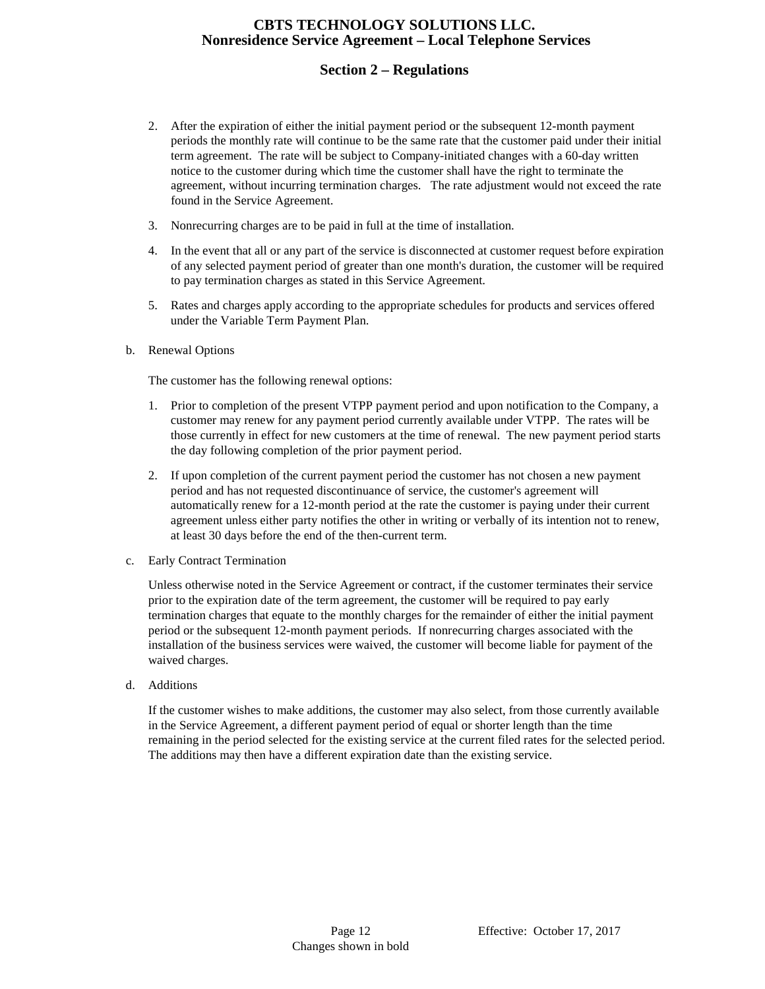# **Section 2 – Regulations**

- 2. After the expiration of either the initial payment period or the subsequent 12-month payment periods the monthly rate will continue to be the same rate that the customer paid under their initial term agreement. The rate will be subject to Company-initiated changes with a 60-day written notice to the customer during which time the customer shall have the right to terminate the agreement, without incurring termination charges. The rate adjustment would not exceed the rate found in the Service Agreement.
- 3. Nonrecurring charges are to be paid in full at the time of installation.
- 4. In the event that all or any part of the service is disconnected at customer request before expiration of any selected payment period of greater than one month's duration, the customer will be required to pay termination charges as stated in this Service Agreement.
- 5. Rates and charges apply according to the appropriate schedules for products and services offered under the Variable Term Payment Plan.
- b. Renewal Options

The customer has the following renewal options:

- 1. Prior to completion of the present VTPP payment period and upon notification to the Company, a customer may renew for any payment period currently available under VTPP. The rates will be those currently in effect for new customers at the time of renewal. The new payment period starts the day following completion of the prior payment period.
- 2. If upon completion of the current payment period the customer has not chosen a new payment period and has not requested discontinuance of service, the customer's agreement will automatically renew for a 12-month period at the rate the customer is paying under their current agreement unless either party notifies the other in writing or verbally of its intention not to renew, at least 30 days before the end of the then-current term.
- c. Early Contract Termination

Unless otherwise noted in the Service Agreement or contract, if the customer terminates their service prior to the expiration date of the term agreement, the customer will be required to pay early termination charges that equate to the monthly charges for the remainder of either the initial payment period or the subsequent 12-month payment periods. If nonrecurring charges associated with the installation of the business services were waived, the customer will become liable for payment of the waived charges.

d. Additions

If the customer wishes to make additions, the customer may also select, from those currently available in the Service Agreement, a different payment period of equal or shorter length than the time remaining in the period selected for the existing service at the current filed rates for the selected period. The additions may then have a different expiration date than the existing service.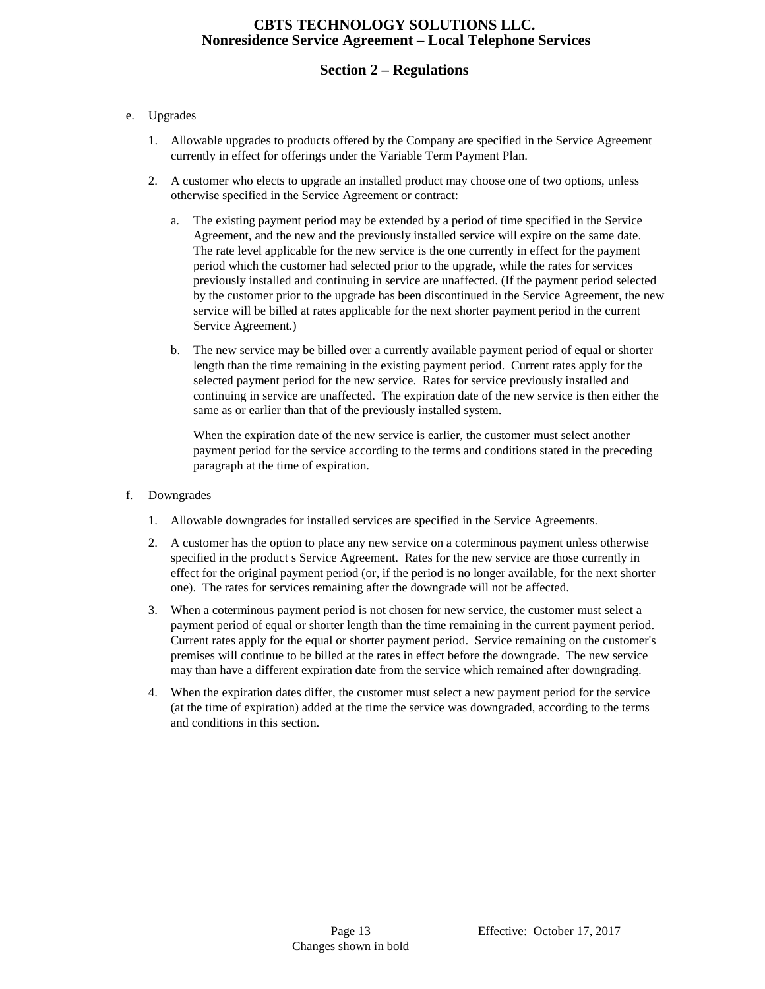# **Section 2 – Regulations**

#### e. Upgrades

- 1. Allowable upgrades to products offered by the Company are specified in the Service Agreement currently in effect for offerings under the Variable Term Payment Plan.
- 2. A customer who elects to upgrade an installed product may choose one of two options, unless otherwise specified in the Service Agreement or contract:
	- a. The existing payment period may be extended by a period of time specified in the Service Agreement, and the new and the previously installed service will expire on the same date. The rate level applicable for the new service is the one currently in effect for the payment period which the customer had selected prior to the upgrade, while the rates for services previously installed and continuing in service are unaffected. (If the payment period selected by the customer prior to the upgrade has been discontinued in the Service Agreement, the new service will be billed at rates applicable for the next shorter payment period in the current Service Agreement.)
	- b. The new service may be billed over a currently available payment period of equal or shorter length than the time remaining in the existing payment period. Current rates apply for the selected payment period for the new service. Rates for service previously installed and continuing in service are unaffected. The expiration date of the new service is then either the same as or earlier than that of the previously installed system.

When the expiration date of the new service is earlier, the customer must select another payment period for the service according to the terms and conditions stated in the preceding paragraph at the time of expiration.

- f. Downgrades
	- 1. Allowable downgrades for installed services are specified in the Service Agreements.
	- 2. A customer has the option to place any new service on a coterminous payment unless otherwise specified in the product s Service Agreement. Rates for the new service are those currently in effect for the original payment period (or, if the period is no longer available, for the next shorter one). The rates for services remaining after the downgrade will not be affected.
	- 3. When a coterminous payment period is not chosen for new service, the customer must select a payment period of equal or shorter length than the time remaining in the current payment period. Current rates apply for the equal or shorter payment period. Service remaining on the customer's premises will continue to be billed at the rates in effect before the downgrade. The new service may than have a different expiration date from the service which remained after downgrading.
	- 4. When the expiration dates differ, the customer must select a new payment period for the service (at the time of expiration) added at the time the service was downgraded, according to the terms and conditions in this section.